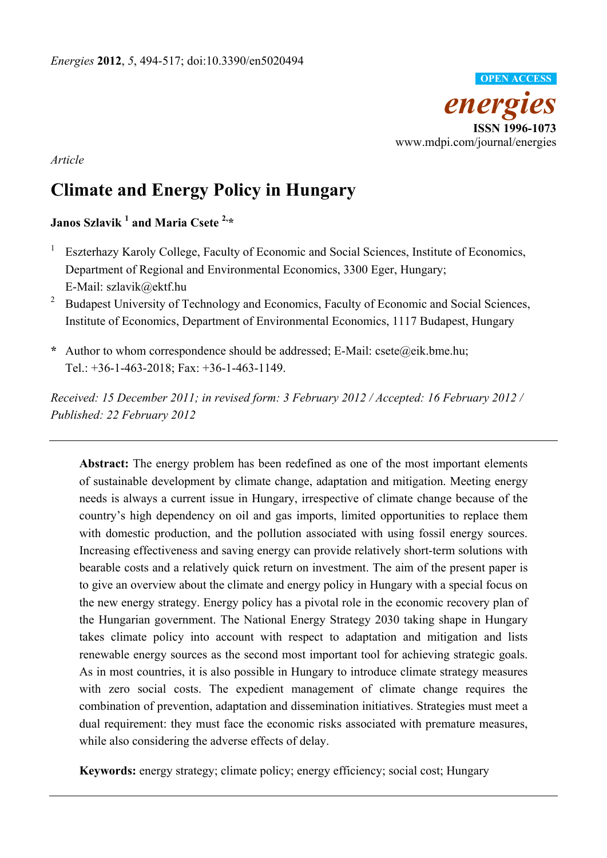

*Article* 

# **Climate and Energy Policy in Hungary**

# **Janos Szlavik 1 and Maria Csete 2,\***

- 1 Eszterhazy Karoly College, Faculty of Economic and Social Sciences, Institute of Economics, Department of Regional and Environmental Economics, 3300 Eger, Hungary; E-Mail: szlavik@ektf.hu
- 2 Budapest University of Technology and Economics, Faculty of Economic and Social Sciences, Institute of Economics, Department of Environmental Economics, 1117 Budapest, Hungary
- **\*** Author to whom correspondence should be addressed; E-Mail: csete@eik.bme.hu; Tel.: +36-1-463-2018; Fax: +36-1-463-1149.

*Received: 15 December 2011; in revised form: 3 February 2012 / Accepted: 16 February 2012 / Published: 22 February 2012* 

**Abstract:** The energy problem has been redefined as one of the most important elements of sustainable development by climate change, adaptation and mitigation. Meeting energy needs is always a current issue in Hungary, irrespective of climate change because of the country's high dependency on oil and gas imports, limited opportunities to replace them with domestic production, and the pollution associated with using fossil energy sources. Increasing effectiveness and saving energy can provide relatively short-term solutions with bearable costs and a relatively quick return on investment. The aim of the present paper is to give an overview about the climate and energy policy in Hungary with a special focus on the new energy strategy. Energy policy has a pivotal role in the economic recovery plan of the Hungarian government. The National Energy Strategy 2030 taking shape in Hungary takes climate policy into account with respect to adaptation and mitigation and lists renewable energy sources as the second most important tool for achieving strategic goals. As in most countries, it is also possible in Hungary to introduce climate strategy measures with zero social costs. The expedient management of climate change requires the combination of prevention, adaptation and dissemination initiatives. Strategies must meet a dual requirement: they must face the economic risks associated with premature measures, while also considering the adverse effects of delay.

**Keywords:** energy strategy; climate policy; energy efficiency; social cost; Hungary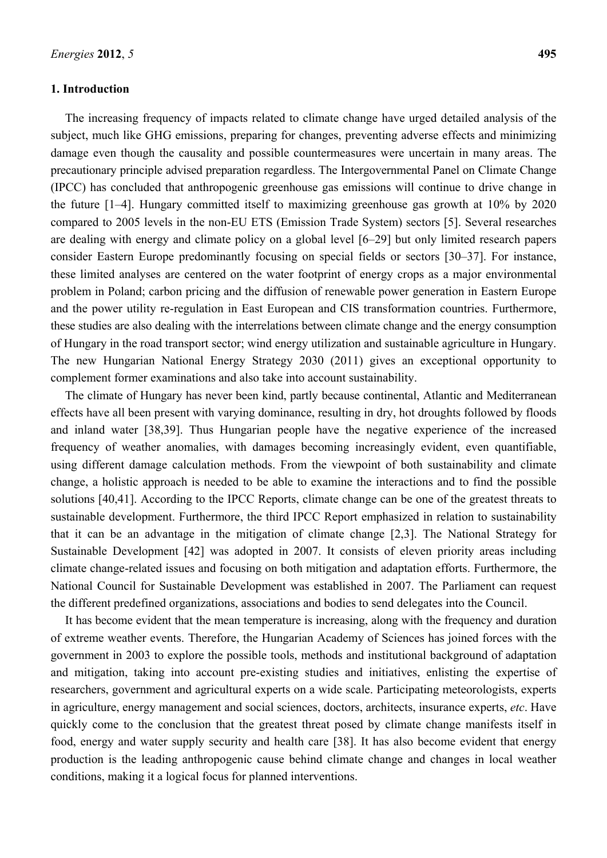## **1. Introduction**

The increasing frequency of impacts related to climate change have urged detailed analysis of the subject, much like GHG emissions, preparing for changes, preventing adverse effects and minimizing damage even though the causality and possible countermeasures were uncertain in many areas. The precautionary principle advised preparation regardless. The Intergovernmental Panel on Climate Change (IPCC) has concluded that anthropogenic greenhouse gas emissions will continue to drive change in the future [1–4]. Hungary committed itself to maximizing greenhouse gas growth at 10% by 2020 compared to 2005 levels in the non-EU ETS (Emission Trade System) sectors [5]. Several researches are dealing with energy and climate policy on a global level [6–29] but only limited research papers consider Eastern Europe predominantly focusing on special fields or sectors [30–37]. For instance, these limited analyses are centered on the water footprint of energy crops as a major environmental problem in Poland; carbon pricing and the diffusion of renewable power generation in Eastern Europe and the power utility re-regulation in East European and CIS transformation countries. Furthermore, these studies are also dealing with the interrelations between climate change and the energy consumption of Hungary in the road transport sector; wind energy utilization and sustainable agriculture in Hungary. The new Hungarian National Energy Strategy 2030 (2011) gives an exceptional opportunity to complement former examinations and also take into account sustainability.

The climate of Hungary has never been kind, partly because continental, Atlantic and Mediterranean effects have all been present with varying dominance, resulting in dry, hot droughts followed by floods and inland water [38,39]. Thus Hungarian people have the negative experience of the increased frequency of weather anomalies, with damages becoming increasingly evident, even quantifiable, using different damage calculation methods. From the viewpoint of both sustainability and climate change, a holistic approach is needed to be able to examine the interactions and to find the possible solutions [40,41]. According to the IPCC Reports, climate change can be one of the greatest threats to sustainable development. Furthermore, the third IPCC Report emphasized in relation to sustainability that it can be an advantage in the mitigation of climate change [2,3]. The National Strategy for Sustainable Development [42] was adopted in 2007. It consists of eleven priority areas including climate change-related issues and focusing on both mitigation and adaptation efforts. Furthermore, the National Council for Sustainable Development was established in 2007. The Parliament can request the different predefined organizations, associations and bodies to send delegates into the Council.

It has become evident that the mean temperature is increasing, along with the frequency and duration of extreme weather events. Therefore, the Hungarian Academy of Sciences has joined forces with the government in 2003 to explore the possible tools, methods and institutional background of adaptation and mitigation, taking into account pre-existing studies and initiatives, enlisting the expertise of researchers, government and agricultural experts on a wide scale. Participating meteorologists, experts in agriculture, energy management and social sciences, doctors, architects, insurance experts, *etc*. Have quickly come to the conclusion that the greatest threat posed by climate change manifests itself in food, energy and water supply security and health care [38]. It has also become evident that energy production is the leading anthropogenic cause behind climate change and changes in local weather conditions, making it a logical focus for planned interventions.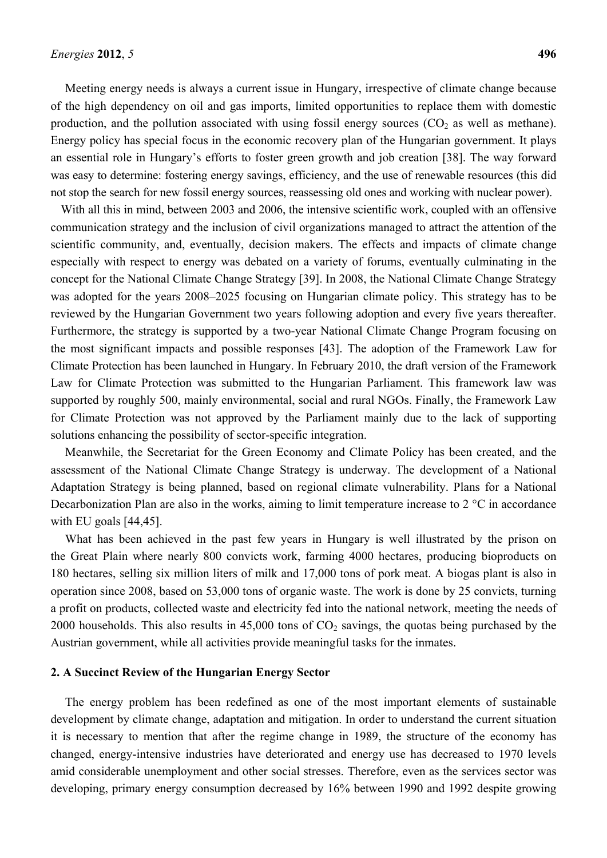Meeting energy needs is always a current issue in Hungary, irrespective of climate change because of the high dependency on oil and gas imports, limited opportunities to replace them with domestic production, and the pollution associated with using fossil energy sources  $(CO<sub>2</sub>$  as well as methane). Energy policy has special focus in the economic recovery plan of the Hungarian government. It plays an essential role in Hungary's efforts to foster green growth and job creation [38]. The way forward was easy to determine: fostering energy savings, efficiency, and the use of renewable resources (this did not stop the search for new fossil energy sources, reassessing old ones and working with nuclear power).

With all this in mind, between 2003 and 2006, the intensive scientific work, coupled with an offensive communication strategy and the inclusion of civil organizations managed to attract the attention of the scientific community, and, eventually, decision makers. The effects and impacts of climate change especially with respect to energy was debated on a variety of forums, eventually culminating in the concept for the National Climate Change Strategy [39]. In 2008, the National Climate Change Strategy was adopted for the years 2008–2025 focusing on Hungarian climate policy. This strategy has to be reviewed by the Hungarian Government two years following adoption and every five years thereafter. Furthermore, the strategy is supported by a two-year National Climate Change Program focusing on the most significant impacts and possible responses [43]. The adoption of the Framework Law for Climate Protection has been launched in Hungary. In February 2010, the draft version of the Framework Law for Climate Protection was submitted to the Hungarian Parliament. This framework law was supported by roughly 500, mainly environmental, social and rural NGOs. Finally, the Framework Law for Climate Protection was not approved by the Parliament mainly due to the lack of supporting solutions enhancing the possibility of sector-specific integration.

Meanwhile, the Secretariat for the Green Economy and Climate Policy has been created, and the assessment of the National Climate Change Strategy is underway. The development of a National Adaptation Strategy is being planned, based on regional climate vulnerability. Plans for a National Decarbonization Plan are also in the works, aiming to limit temperature increase to 2 °C in accordance with EU goals [44,45].

What has been achieved in the past few years in Hungary is well illustrated by the prison on the Great Plain where nearly 800 convicts work, farming 4000 hectares, producing bioproducts on 180 hectares, selling six million liters of milk and 17,000 tons of pork meat. A biogas plant is also in operation since 2008, based on 53,000 tons of organic waste. The work is done by 25 convicts, turning a profit on products, collected waste and electricity fed into the national network, meeting the needs of 2000 households. This also results in  $45,000$  tons of  $CO<sub>2</sub>$  savings, the quotas being purchased by the Austrian government, while all activities provide meaningful tasks for the inmates.

# **2. A Succinct Review of the Hungarian Energy Sector**

The energy problem has been redefined as one of the most important elements of sustainable development by climate change, adaptation and mitigation. In order to understand the current situation it is necessary to mention that after the regime change in 1989, the structure of the economy has changed, energy-intensive industries have deteriorated and energy use has decreased to 1970 levels amid considerable unemployment and other social stresses. Therefore, even as the services sector was developing, primary energy consumption decreased by 16% between 1990 and 1992 despite growing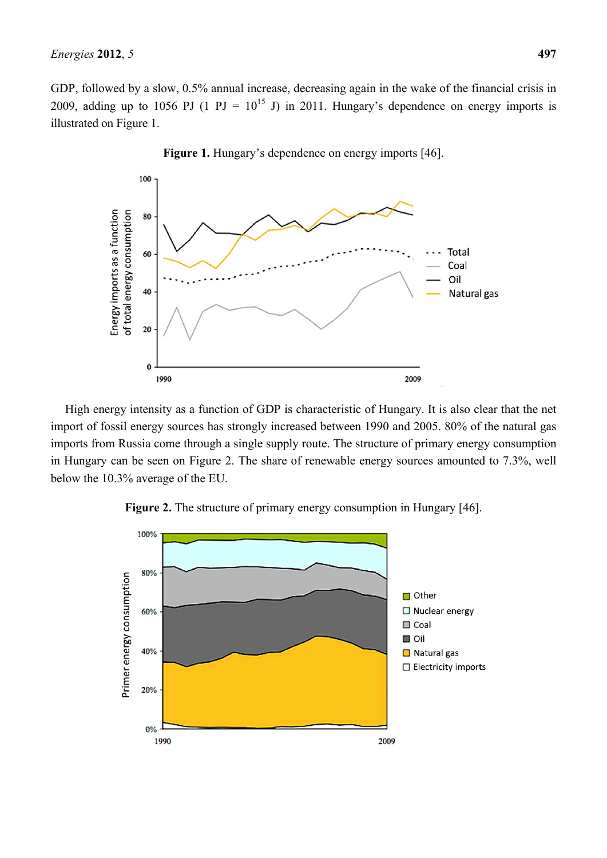GDP, followed by a slow, 0.5% annual increase, decreasing again in the wake of the financial crisis in 2009, adding up to 1056 PJ (1 PJ =  $10^{15}$  J) in 2011. Hungary's dependence on energy imports is illustrated on Figure 1.



Figure 1. Hungary's dependence on energy imports [46].

High energy intensity as a function of GDP is characteristic of Hungary. It is also clear that the net import of fossil energy sources has strongly increased between 1990 and 2005. 80% of the natural gas imports from Russia come through a single supply route. The structure of primary energy consumption in Hungary can be seen on Figure 2. The share of renewable energy sources amounted to 7.3%, well below the 10.3% average of the EU.



**Figure 2.** The structure of primary energy consumption in Hungary [46].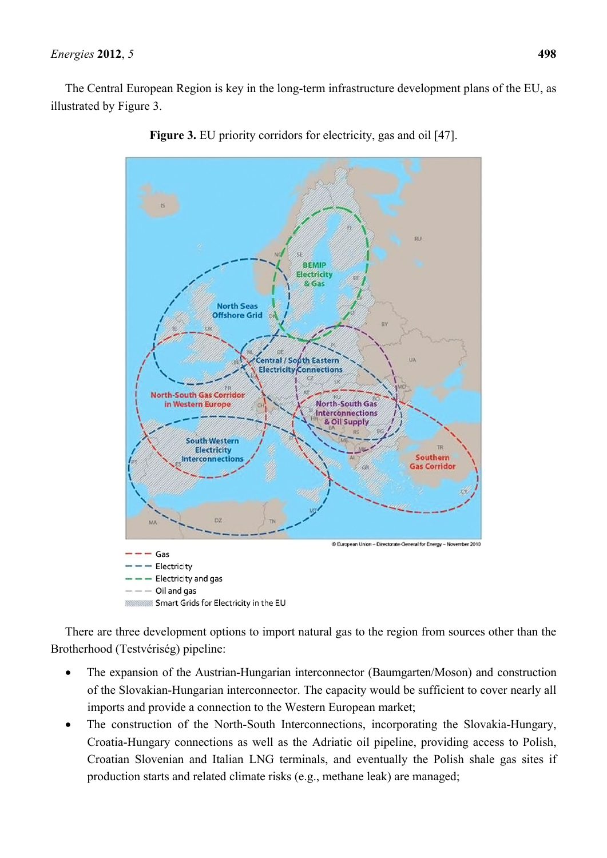The Central European Region is key in the long-term infrastructure development plans of the EU, as illustrated by Figure 3.





There are three development options to import natural gas to the region from sources other than the Brotherhood (Testvériség) pipeline:

- The expansion of the Austrian-Hungarian interconnector (Baumgarten/Moson) and construction of the Slovakian-Hungarian interconnector. The capacity would be sufficient to cover nearly all imports and provide a connection to the Western European market;
- The construction of the North-South Interconnections, incorporating the Slovakia-Hungary, Croatia-Hungary connections as well as the Adriatic oil pipeline, providing access to Polish, Croatian Slovenian and Italian LNG terminals, and eventually the Polish shale gas sites if production starts and related climate risks (e.g., methane leak) are managed;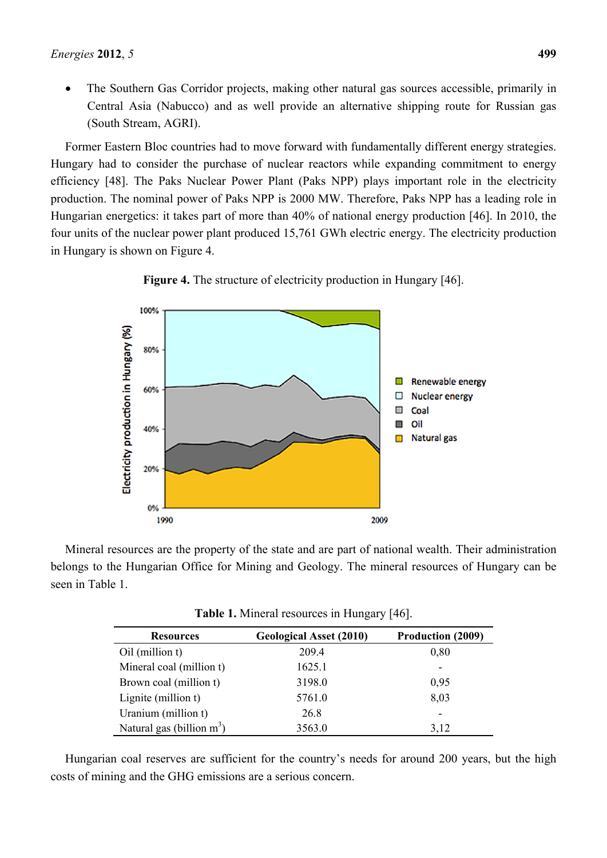• The Southern Gas Corridor projects, making other natural gas sources accessible, primarily in Central Asia (Nabucco) and as well provide an alternative shipping route for Russian gas (South Stream, AGRI).

Former Eastern Bloc countries had to move forward with fundamentally different energy strategies. Hungary had to consider the purchase of nuclear reactors while expanding commitment to energy efficiency [48]. The Paks Nuclear Power Plant (Paks NPP) plays important role in the electricity production. The nominal power of Paks NPP is 2000 MW. Therefore, Paks NPP has a leading role in Hungarian energetics: it takes part of more than 40% of national energy production [46]. In 2010, the four units of the nuclear power plant produced 15,761 GWh electric energy. The electricity production in Hungary is shown on Figure 4.



**Figure 4.** The structure of electricity production in Hungary [46].

Mineral resources are the property of the state and are part of national wealth. Their administration belongs to the Hungarian Office for Mining and Geology. The mineral resources of Hungary can be seen in Table 1.

| <b>Resources</b>             | <b>Geological Asset (2010)</b> | Production (2009) |
|------------------------------|--------------------------------|-------------------|
| Oil (million t)              | 209.4                          | 0,80              |
| Mineral coal (million t)     | 1625.1                         | -                 |
| Brown coal (million t)       | 3198.0                         | 0,95              |
| Lignite (million t)          | 5761.0                         | 8,03              |
| Uranium (million t)          | 26.8                           | ۰                 |
| Natural gas (billion $m^3$ ) | 3563.0                         | 3,12              |

**Table 1.** Mineral resources in Hungary [46].

Hungarian coal reserves are sufficient for the country's needs for around 200 years, but the high costs of mining and the GHG emissions are a serious concern.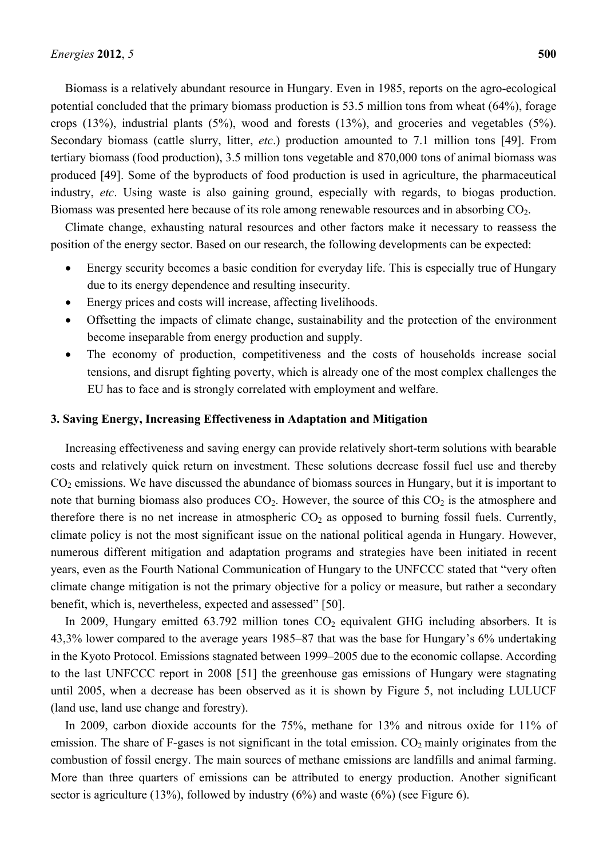Biomass is a relatively abundant resource in Hungary. Even in 1985, reports on the agro-ecological potential concluded that the primary biomass production is 53.5 million tons from wheat (64%), forage crops (13%), industrial plants (5%), wood and forests (13%), and groceries and vegetables (5%). Secondary biomass (cattle slurry, litter, *etc*.) production amounted to 7.1 million tons [49]. From tertiary biomass (food production), 3.5 million tons vegetable and 870,000 tons of animal biomass was produced [49]. Some of the byproducts of food production is used in agriculture, the pharmaceutical industry, *etc*. Using waste is also gaining ground, especially with regards, to biogas production. Biomass was presented here because of its role among renewable resources and in absorbing  $CO<sub>2</sub>$ .

Climate change, exhausting natural resources and other factors make it necessary to reassess the position of the energy sector. Based on our research, the following developments can be expected:

- Energy security becomes a basic condition for everyday life. This is especially true of Hungary due to its energy dependence and resulting insecurity.
- Energy prices and costs will increase, affecting livelihoods.
- Offsetting the impacts of climate change, sustainability and the protection of the environment become inseparable from energy production and supply.
- The economy of production, competitiveness and the costs of households increase social tensions, and disrupt fighting poverty, which is already one of the most complex challenges the EU has to face and is strongly correlated with employment and welfare.

#### **3. Saving Energy, Increasing Effectiveness in Adaptation and Mitigation**

Increasing effectiveness and saving energy can provide relatively short-term solutions with bearable costs and relatively quick return on investment. These solutions decrease fossil fuel use and thereby  $CO<sub>2</sub>$  emissions. We have discussed the abundance of biomass sources in Hungary, but it is important to note that burning biomass also produces  $CO<sub>2</sub>$ . However, the source of this  $CO<sub>2</sub>$  is the atmosphere and therefore there is no net increase in atmospheric  $CO<sub>2</sub>$  as opposed to burning fossil fuels. Currently, climate policy is not the most significant issue on the national political agenda in Hungary. However, numerous different mitigation and adaptation programs and strategies have been initiated in recent years, even as the Fourth National Communication of Hungary to the UNFCCC stated that "very often climate change mitigation is not the primary objective for a policy or measure, but rather a secondary benefit, which is, nevertheless, expected and assessed" [50].

In 2009, Hungary emitted  $63.792$  million tones  $CO<sub>2</sub>$  equivalent GHG including absorbers. It is 43,3% lower compared to the average years 1985–87 that was the base for Hungary's 6% undertaking in the Kyoto Protocol. Emissions stagnated between 1999–2005 due to the economic collapse. According to the last UNFCCC report in 2008 [51] the greenhouse gas emissions of Hungary were stagnating until 2005, when a decrease has been observed as it is shown by Figure 5, not including LULUCF (land use, land use change and forestry).

In 2009, carbon dioxide accounts for the 75%, methane for 13% and nitrous oxide for 11% of emission. The share of F-gases is not significant in the total emission.  $CO<sub>2</sub>$  mainly originates from the combustion of fossil energy. The main sources of methane emissions are landfills and animal farming. More than three quarters of emissions can be attributed to energy production. Another significant sector is agriculture (13%), followed by industry (6%) and waste (6%) (see Figure 6).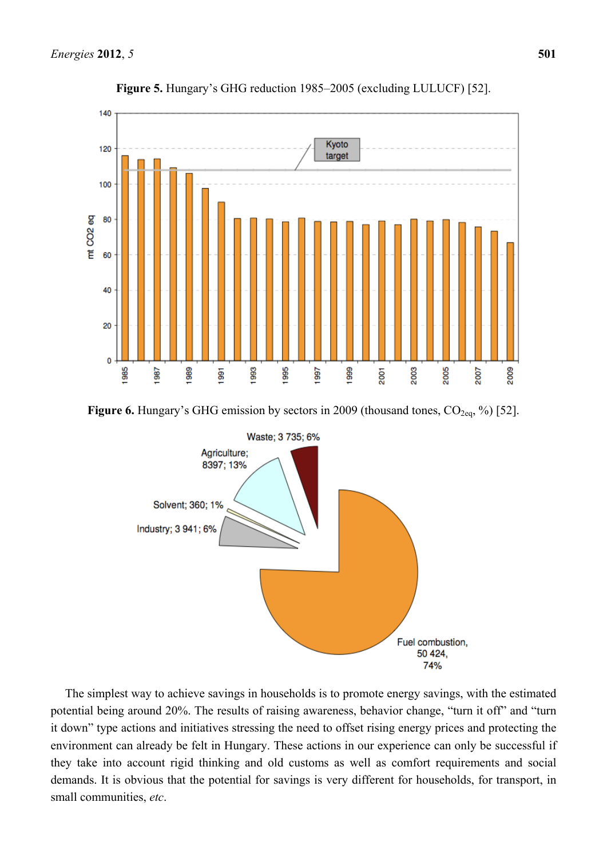

**Figure 5.** Hungary's GHG reduction 1985–2005 (excluding LULUCF) [52].

**Figure 6.** Hungary's GHG emission by sectors in 2009 (thousand tones,  $CO_{2eq}$ , %) [52].



The simplest way to achieve savings in households is to promote energy savings, with the estimated potential being around 20%. The results of raising awareness, behavior change, "turn it off" and "turn it down" type actions and initiatives stressing the need to offset rising energy prices and protecting the environment can already be felt in Hungary. These actions in our experience can only be successful if they take into account rigid thinking and old customs as well as comfort requirements and social demands. It is obvious that the potential for savings is very different for households, for transport, in small communities, *etc*.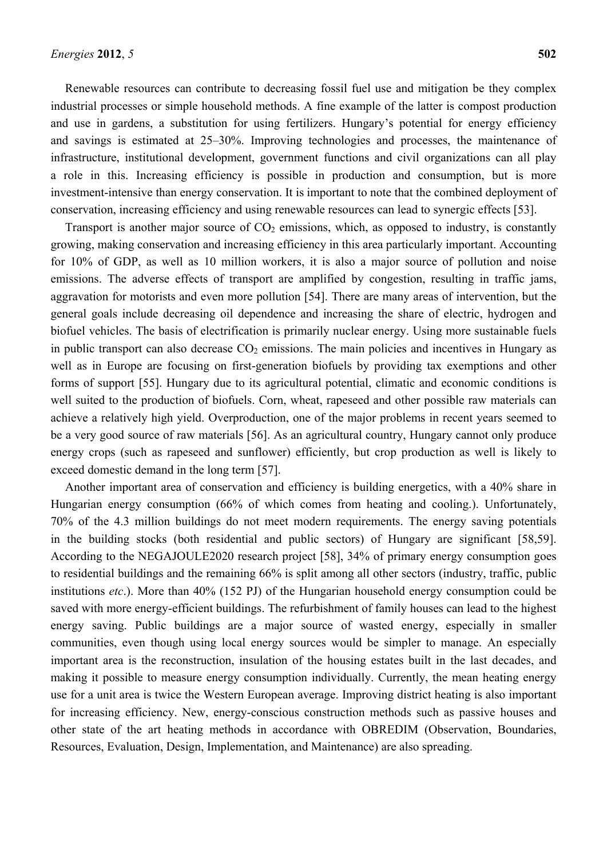Renewable resources can contribute to decreasing fossil fuel use and mitigation be they complex industrial processes or simple household methods. A fine example of the latter is compost production and use in gardens, a substitution for using fertilizers. Hungary's potential for energy efficiency and savings is estimated at 25–30%. Improving technologies and processes, the maintenance of infrastructure, institutional development, government functions and civil organizations can all play a role in this. Increasing efficiency is possible in production and consumption, but is more investment-intensive than energy conservation. It is important to note that the combined deployment of conservation, increasing efficiency and using renewable resources can lead to synergic effects [53].

Transport is another major source of  $CO<sub>2</sub>$  emissions, which, as opposed to industry, is constantly growing, making conservation and increasing efficiency in this area particularly important. Accounting for 10% of GDP, as well as 10 million workers, it is also a major source of pollution and noise emissions. The adverse effects of transport are amplified by congestion, resulting in traffic jams, aggravation for motorists and even more pollution [54]. There are many areas of intervention, but the general goals include decreasing oil dependence and increasing the share of electric, hydrogen and biofuel vehicles. The basis of electrification is primarily nuclear energy. Using more sustainable fuels in public transport can also decrease  $CO<sub>2</sub>$  emissions. The main policies and incentives in Hungary as well as in Europe are focusing on first-generation biofuels by providing tax exemptions and other forms of support [55]. Hungary due to its agricultural potential, climatic and economic conditions is well suited to the production of biofuels. Corn, wheat, rapeseed and other possible raw materials can achieve a relatively high yield. Overproduction, one of the major problems in recent years seemed to be a very good source of raw materials [56]. As an agricultural country, Hungary cannot only produce energy crops (such as rapeseed and sunflower) efficiently, but crop production as well is likely to exceed domestic demand in the long term [57].

Another important area of conservation and efficiency is building energetics, with a 40% share in Hungarian energy consumption (66% of which comes from heating and cooling.). Unfortunately, 70% of the 4.3 million buildings do not meet modern requirements. The energy saving potentials in the building stocks (both residential and public sectors) of Hungary are significant [58,59]. According to the NEGAJOULE2020 research project [58], 34% of primary energy consumption goes to residential buildings and the remaining 66% is split among all other sectors (industry, traffic, public institutions *etc*.). More than 40% (152 PJ) of the Hungarian household energy consumption could be saved with more energy-efficient buildings. The refurbishment of family houses can lead to the highest energy saving. Public buildings are a major source of wasted energy, especially in smaller communities, even though using local energy sources would be simpler to manage. An especially important area is the reconstruction, insulation of the housing estates built in the last decades, and making it possible to measure energy consumption individually. Currently, the mean heating energy use for a unit area is twice the Western European average. Improving district heating is also important for increasing efficiency. New, energy-conscious construction methods such as passive houses and other state of the art heating methods in accordance with OBREDIM (Observation, Boundaries, Resources, Evaluation, Design, Implementation, and Maintenance) are also spreading.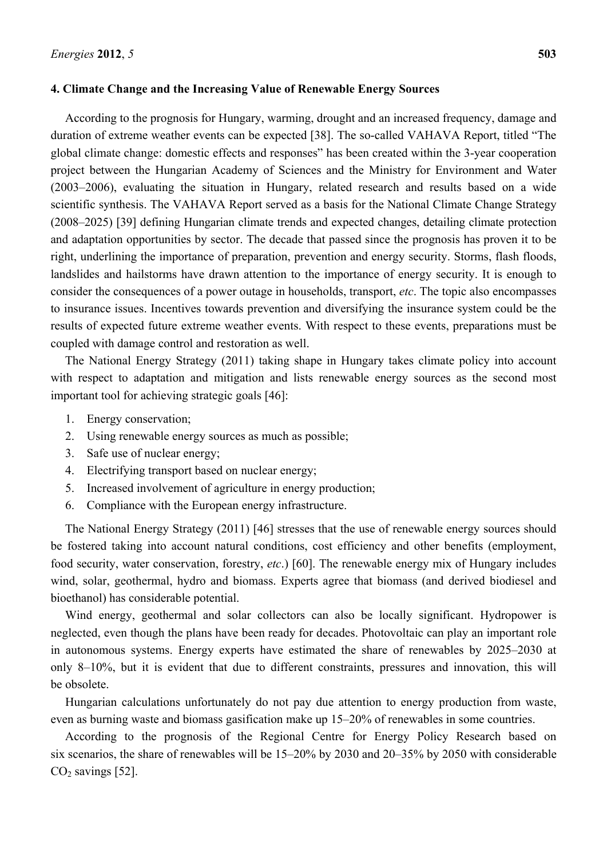# **4. Climate Change and the Increasing Value of Renewable Energy Sources**

According to the prognosis for Hungary, warming, drought and an increased frequency, damage and duration of extreme weather events can be expected [38]. The so-called VAHAVA Report, titled "The global climate change: domestic effects and responses" has been created within the 3-year cooperation project between the Hungarian Academy of Sciences and the Ministry for Environment and Water (2003–2006), evaluating the situation in Hungary, related research and results based on a wide scientific synthesis. The VAHAVA Report served as a basis for the National Climate Change Strategy (2008–2025) [39] defining Hungarian climate trends and expected changes, detailing climate protection and adaptation opportunities by sector. The decade that passed since the prognosis has proven it to be right, underlining the importance of preparation, prevention and energy security. Storms, flash floods, landslides and hailstorms have drawn attention to the importance of energy security. It is enough to consider the consequences of a power outage in households, transport, *etc*. The topic also encompasses to insurance issues. Incentives towards prevention and diversifying the insurance system could be the results of expected future extreme weather events. With respect to these events, preparations must be coupled with damage control and restoration as well.

The National Energy Strategy (2011) taking shape in Hungary takes climate policy into account with respect to adaptation and mitigation and lists renewable energy sources as the second most important tool for achieving strategic goals [46]:

- 1. Energy conservation;
- 2. Using renewable energy sources as much as possible;
- 3. Safe use of nuclear energy;
- 4. Electrifying transport based on nuclear energy;
- 5. Increased involvement of agriculture in energy production;
- 6. Compliance with the European energy infrastructure.

The National Energy Strategy (2011) [46] stresses that the use of renewable energy sources should be fostered taking into account natural conditions, cost efficiency and other benefits (employment, food security, water conservation, forestry, *etc*.) [60]. The renewable energy mix of Hungary includes wind, solar, geothermal, hydro and biomass. Experts agree that biomass (and derived biodiesel and bioethanol) has considerable potential.

Wind energy, geothermal and solar collectors can also be locally significant. Hydropower is neglected, even though the plans have been ready for decades. Photovoltaic can play an important role in autonomous systems. Energy experts have estimated the share of renewables by 2025–2030 at only 8–10%, but it is evident that due to different constraints, pressures and innovation, this will be obsolete.

Hungarian calculations unfortunately do not pay due attention to energy production from waste, even as burning waste and biomass gasification make up 15–20% of renewables in some countries.

According to the prognosis of the Regional Centre for Energy Policy Research based on six scenarios, the share of renewables will be 15–20% by 2030 and 20–35% by 2050 with considerable  $CO<sub>2</sub>$  savings [52].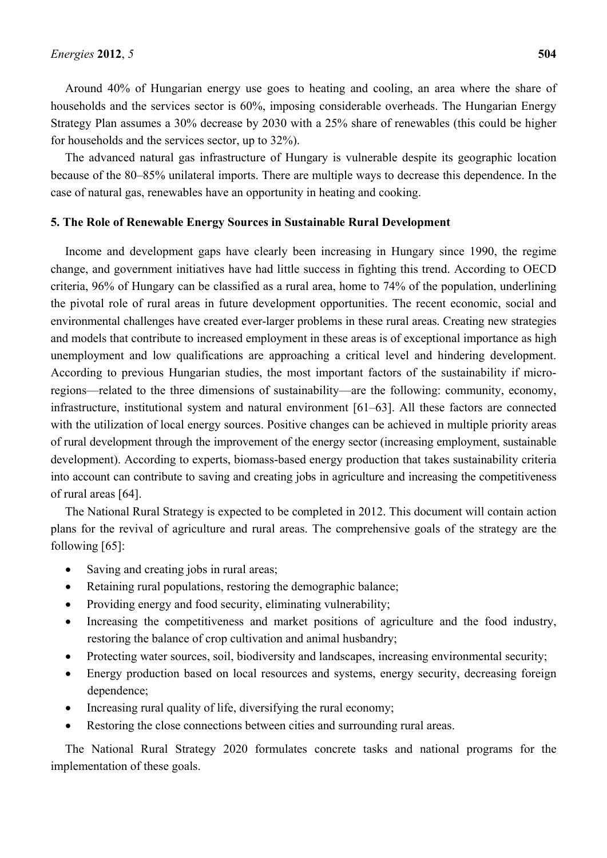Around 40% of Hungarian energy use goes to heating and cooling, an area where the share of households and the services sector is 60%, imposing considerable overheads. The Hungarian Energy Strategy Plan assumes a 30% decrease by 2030 with a 25% share of renewables (this could be higher for households and the services sector, up to 32%).

The advanced natural gas infrastructure of Hungary is vulnerable despite its geographic location because of the 80–85% unilateral imports. There are multiple ways to decrease this dependence. In the case of natural gas, renewables have an opportunity in heating and cooking.

# **5. The Role of Renewable Energy Sources in Sustainable Rural Development**

Income and development gaps have clearly been increasing in Hungary since 1990, the regime change, and government initiatives have had little success in fighting this trend. According to OECD criteria, 96% of Hungary can be classified as a rural area, home to 74% of the population, underlining the pivotal role of rural areas in future development opportunities. The recent economic, social and environmental challenges have created ever-larger problems in these rural areas. Creating new strategies and models that contribute to increased employment in these areas is of exceptional importance as high unemployment and low qualifications are approaching a critical level and hindering development. According to previous Hungarian studies, the most important factors of the sustainability if microregions—related to the three dimensions of sustainability—are the following: community, economy, infrastructure, institutional system and natural environment [61–63]. All these factors are connected with the utilization of local energy sources. Positive changes can be achieved in multiple priority areas of rural development through the improvement of the energy sector (increasing employment, sustainable development). According to experts, biomass-based energy production that takes sustainability criteria into account can contribute to saving and creating jobs in agriculture and increasing the competitiveness of rural areas [64].

The National Rural Strategy is expected to be completed in 2012. This document will contain action plans for the revival of agriculture and rural areas. The comprehensive goals of the strategy are the following [65]:

- Saving and creating jobs in rural areas;
- Retaining rural populations, restoring the demographic balance:
- Providing energy and food security, eliminating vulnerability;
- Increasing the competitiveness and market positions of agriculture and the food industry, restoring the balance of crop cultivation and animal husbandry;
- Protecting water sources, soil, biodiversity and landscapes, increasing environmental security;
- Energy production based on local resources and systems, energy security, decreasing foreign dependence;
- Increasing rural quality of life, diversifying the rural economy;
- Restoring the close connections between cities and surrounding rural areas.

The National Rural Strategy 2020 formulates concrete tasks and national programs for the implementation of these goals.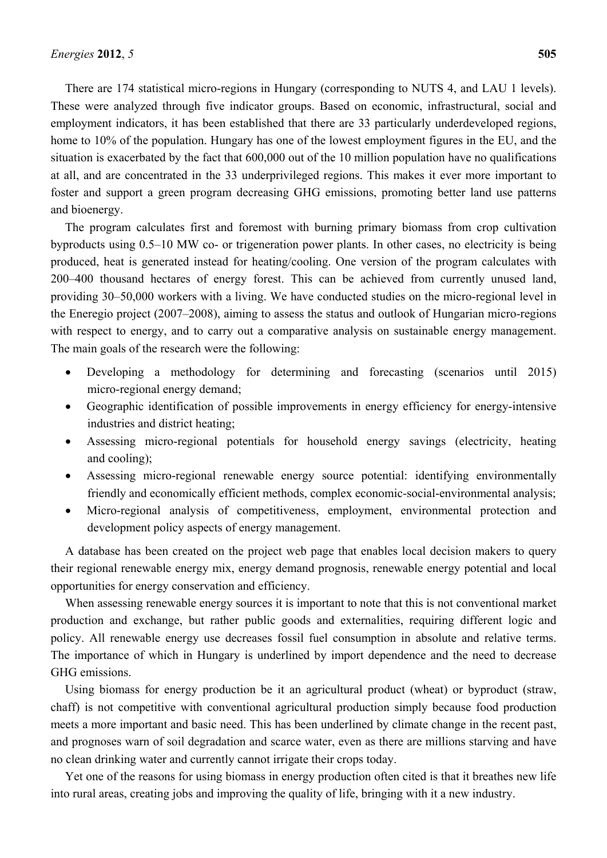There are 174 statistical micro-regions in Hungary (corresponding to NUTS 4, and LAU 1 levels). These were analyzed through five indicator groups. Based on economic, infrastructural, social and employment indicators, it has been established that there are 33 particularly underdeveloped regions, home to 10% of the population. Hungary has one of the lowest employment figures in the EU, and the situation is exacerbated by the fact that 600,000 out of the 10 million population have no qualifications at all, and are concentrated in the 33 underprivileged regions. This makes it ever more important to foster and support a green program decreasing GHG emissions, promoting better land use patterns and bioenergy.

The program calculates first and foremost with burning primary biomass from crop cultivation byproducts using 0.5–10 MW co- or trigeneration power plants. In other cases, no electricity is being produced, heat is generated instead for heating/cooling. One version of the program calculates with 200–400 thousand hectares of energy forest. This can be achieved from currently unused land, providing 30–50,000 workers with a living. We have conducted studies on the micro-regional level in the Eneregio project (2007–2008), aiming to assess the status and outlook of Hungarian micro-regions with respect to energy, and to carry out a comparative analysis on sustainable energy management. The main goals of the research were the following:

- Developing a methodology for determining and forecasting (scenarios until 2015) micro-regional energy demand;
- Geographic identification of possible improvements in energy efficiency for energy-intensive industries and district heating;
- Assessing micro-regional potentials for household energy savings (electricity, heating and cooling);
- Assessing micro-regional renewable energy source potential: identifying environmentally friendly and economically efficient methods, complex economic-social-environmental analysis;
- Micro-regional analysis of competitiveness, employment, environmental protection and development policy aspects of energy management.

A database has been created on the project web page that enables local decision makers to query their regional renewable energy mix, energy demand prognosis, renewable energy potential and local opportunities for energy conservation and efficiency.

When assessing renewable energy sources it is important to note that this is not conventional market production and exchange, but rather public goods and externalities, requiring different logic and policy. All renewable energy use decreases fossil fuel consumption in absolute and relative terms. The importance of which in Hungary is underlined by import dependence and the need to decrease GHG emissions.

Using biomass for energy production be it an agricultural product (wheat) or byproduct (straw, chaff) is not competitive with conventional agricultural production simply because food production meets a more important and basic need. This has been underlined by climate change in the recent past, and prognoses warn of soil degradation and scarce water, even as there are millions starving and have no clean drinking water and currently cannot irrigate their crops today.

Yet one of the reasons for using biomass in energy production often cited is that it breathes new life into rural areas, creating jobs and improving the quality of life, bringing with it a new industry.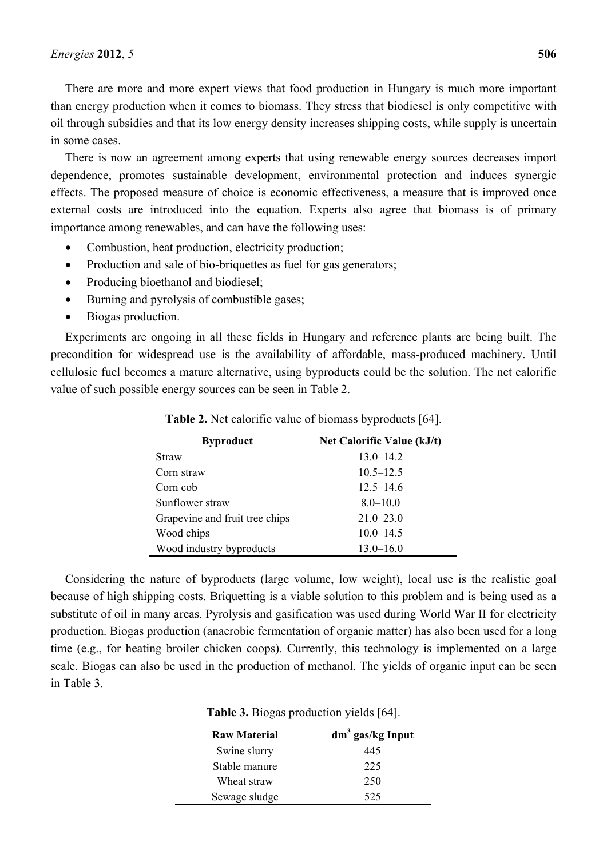There are more and more expert views that food production in Hungary is much more important than energy production when it comes to biomass. They stress that biodiesel is only competitive with oil through subsidies and that its low energy density increases shipping costs, while supply is uncertain in some cases.

There is now an agreement among experts that using renewable energy sources decreases import dependence, promotes sustainable development, environmental protection and induces synergic effects. The proposed measure of choice is economic effectiveness, a measure that is improved once external costs are introduced into the equation. Experts also agree that biomass is of primary importance among renewables, and can have the following uses:

- Combustion, heat production, electricity production;
- Production and sale of bio-briquettes as fuel for gas generators;
- Producing bioethanol and biodiesel;
- Burning and pyrolysis of combustible gases;
- Biogas production.

Experiments are ongoing in all these fields in Hungary and reference plants are being built. The precondition for widespread use is the availability of affordable, mass-produced machinery. Until cellulosic fuel becomes a mature alternative, using byproducts could be the solution. The net calorific value of such possible energy sources can be seen in Table 2.

| <b>Byproduct</b>               | <b>Net Calorific Value (kJ/t)</b> |
|--------------------------------|-----------------------------------|
| Straw                          | $13.0 - 14.2$                     |
| Corn straw                     | $10.5 - 12.5$                     |
| Corn cob                       | $12.5 - 14.6$                     |
| Sunflower straw                | $8.0 - 10.0$                      |
| Grapevine and fruit tree chips | $21.0 - 23.0$                     |
| Wood chips                     | $10.0 - 14.5$                     |
| Wood industry byproducts       | $13.0 - 16.0$                     |

**Table 2.** Net calorific value of biomass byproducts [64].

Considering the nature of byproducts (large volume, low weight), local use is the realistic goal because of high shipping costs. Briquetting is a viable solution to this problem and is being used as a substitute of oil in many areas. Pyrolysis and gasification was used during World War II for electricity production. Biogas production (anaerobic fermentation of organic matter) has also been used for a long time (e.g., for heating broiler chicken coops). Currently, this technology is implemented on a large scale. Biogas can also be used in the production of methanol. The yields of organic input can be seen in Table 3.

| <b>Raw Material</b> | $dm^3$ gas/kg Input |
|---------------------|---------------------|
| Swine slurry        | 445                 |
| Stable manure       | 225                 |
| Wheat straw         | 250                 |
| Sewage sludge       | 525                 |

**Table 3.** Biogas production yields [64].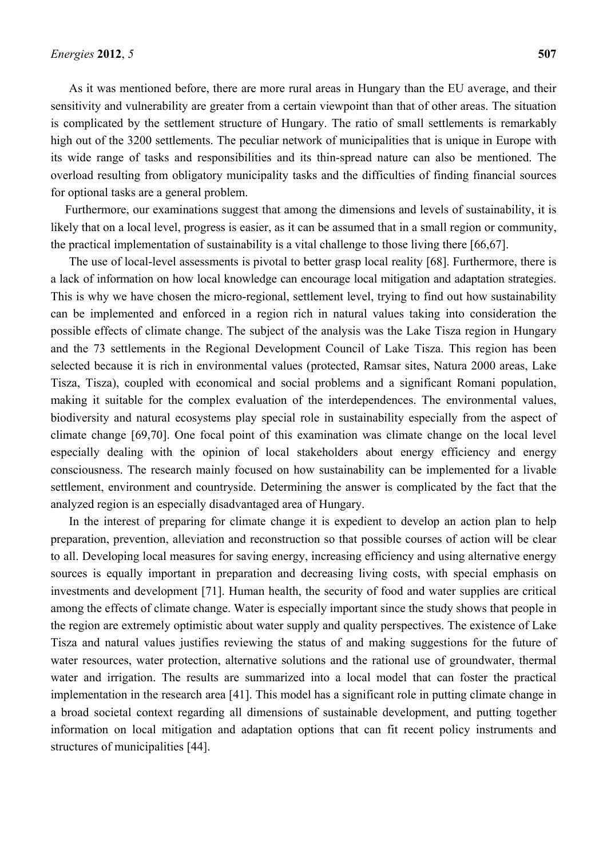As it was mentioned before, there are more rural areas in Hungary than the EU average, and their sensitivity and vulnerability are greater from a certain viewpoint than that of other areas. The situation is complicated by the settlement structure of Hungary. The ratio of small settlements is remarkably high out of the 3200 settlements. The peculiar network of municipalities that is unique in Europe with its wide range of tasks and responsibilities and its thin-spread nature can also be mentioned. The overload resulting from obligatory municipality tasks and the difficulties of finding financial sources for optional tasks are a general problem.

Furthermore, our examinations suggest that among the dimensions and levels of sustainability, it is likely that on a local level, progress is easier, as it can be assumed that in a small region or community, the practical implementation of sustainability is a vital challenge to those living there [66,67].

The use of local-level assessments is pivotal to better grasp local reality [68]. Furthermore, there is a lack of information on how local knowledge can encourage local mitigation and adaptation strategies. This is why we have chosen the micro-regional, settlement level, trying to find out how sustainability can be implemented and enforced in a region rich in natural values taking into consideration the possible effects of climate change. The subject of the analysis was the Lake Tisza region in Hungary and the 73 settlements in the Regional Development Council of Lake Tisza. This region has been selected because it is rich in environmental values (protected, Ramsar sites, Natura 2000 areas, Lake Tisza, Tisza), coupled with economical and social problems and a significant Romani population, making it suitable for the complex evaluation of the interdependences. The environmental values, biodiversity and natural ecosystems play special role in sustainability especially from the aspect of climate change [69,70]. One focal point of this examination was climate change on the local level especially dealing with the opinion of local stakeholders about energy efficiency and energy consciousness. The research mainly focused on how sustainability can be implemented for a livable settlement, environment and countryside. Determining the answer is complicated by the fact that the analyzed region is an especially disadvantaged area of Hungary.

In the interest of preparing for climate change it is expedient to develop an action plan to help preparation, prevention, alleviation and reconstruction so that possible courses of action will be clear to all. Developing local measures for saving energy, increasing efficiency and using alternative energy sources is equally important in preparation and decreasing living costs, with special emphasis on investments and development [71]. Human health, the security of food and water supplies are critical among the effects of climate change. Water is especially important since the study shows that people in the region are extremely optimistic about water supply and quality perspectives. The existence of Lake Tisza and natural values justifies reviewing the status of and making suggestions for the future of water resources, water protection, alternative solutions and the rational use of groundwater, thermal water and irrigation. The results are summarized into a local model that can foster the practical implementation in the research area [41]. This model has a significant role in putting climate change in a broad societal context regarding all dimensions of sustainable development, and putting together information on local mitigation and adaptation options that can fit recent policy instruments and structures of municipalities [44].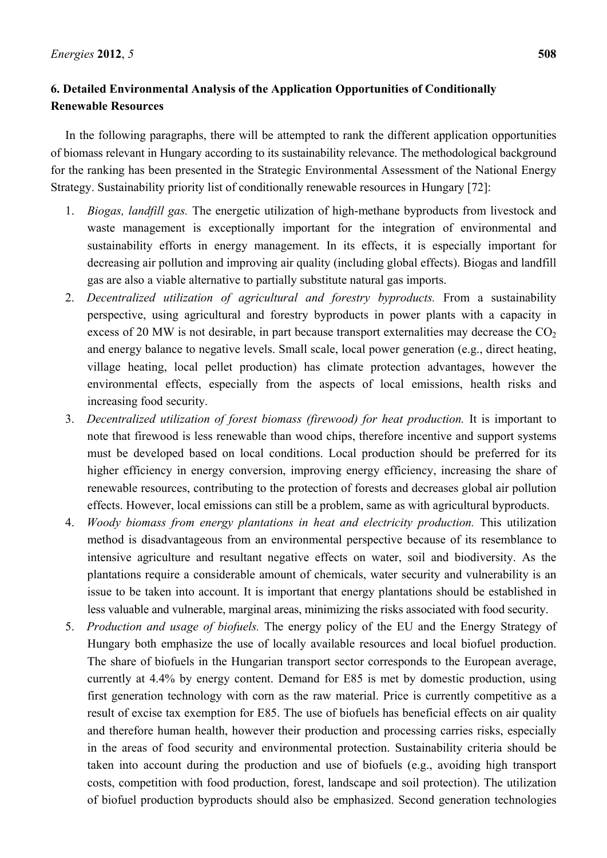# **6. Detailed Environmental Analysis of the Application Opportunities of Conditionally Renewable Resources**

In the following paragraphs, there will be attempted to rank the different application opportunities of biomass relevant in Hungary according to its sustainability relevance. The methodological background for the ranking has been presented in the Strategic Environmental Assessment of the National Energy Strategy. Sustainability priority list of conditionally renewable resources in Hungary [72]:

- 1. *Biogas, landfill gas.* The energetic utilization of high-methane byproducts from livestock and waste management is exceptionally important for the integration of environmental and sustainability efforts in energy management. In its effects, it is especially important for decreasing air pollution and improving air quality (including global effects). Biogas and landfill gas are also a viable alternative to partially substitute natural gas imports.
- 2. *Decentralized utilization of agricultural and forestry byproducts.* From a sustainability perspective, using agricultural and forestry byproducts in power plants with a capacity in excess of 20 MW is not desirable, in part because transport externalities may decrease the  $CO<sub>2</sub>$ and energy balance to negative levels. Small scale, local power generation (e.g., direct heating, village heating, local pellet production) has climate protection advantages, however the environmental effects, especially from the aspects of local emissions, health risks and increasing food security.
- 3. *Decentralized utilization of forest biomass (firewood) for heat production.* It is important to note that firewood is less renewable than wood chips, therefore incentive and support systems must be developed based on local conditions. Local production should be preferred for its higher efficiency in energy conversion, improving energy efficiency, increasing the share of renewable resources, contributing to the protection of forests and decreases global air pollution effects. However, local emissions can still be a problem, same as with agricultural byproducts.
- 4. *Woody biomass from energy plantations in heat and electricity production.* This utilization method is disadvantageous from an environmental perspective because of its resemblance to intensive agriculture and resultant negative effects on water, soil and biodiversity. As the plantations require a considerable amount of chemicals, water security and vulnerability is an issue to be taken into account. It is important that energy plantations should be established in less valuable and vulnerable, marginal areas, minimizing the risks associated with food security.
- 5. *Production and usage of biofuels.* The energy policy of the EU and the Energy Strategy of Hungary both emphasize the use of locally available resources and local biofuel production. The share of biofuels in the Hungarian transport sector corresponds to the European average, currently at 4.4% by energy content. Demand for E85 is met by domestic production, using first generation technology with corn as the raw material. Price is currently competitive as a result of excise tax exemption for E85. The use of biofuels has beneficial effects on air quality and therefore human health, however their production and processing carries risks, especially in the areas of food security and environmental protection. Sustainability criteria should be taken into account during the production and use of biofuels (e.g., avoiding high transport costs, competition with food production, forest, landscape and soil protection). The utilization of biofuel production byproducts should also be emphasized. Second generation technologies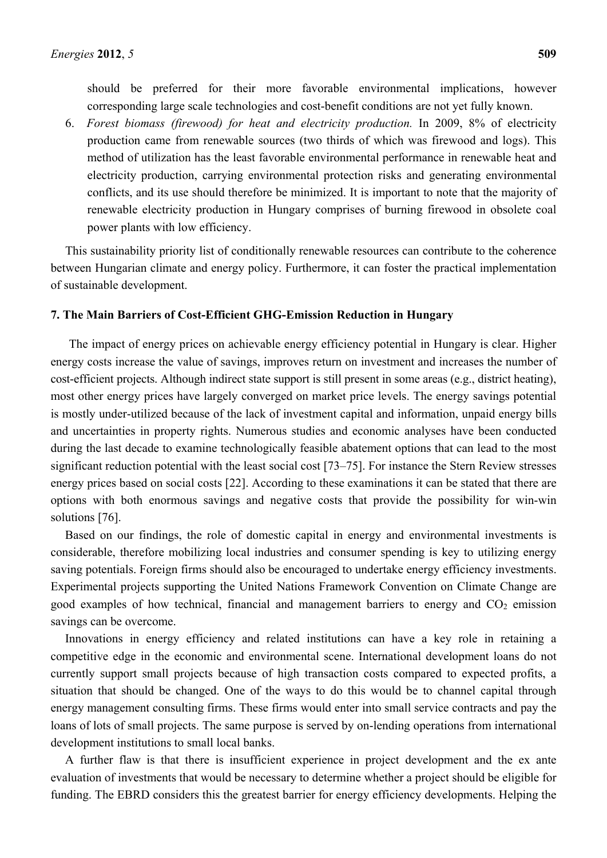should be preferred for their more favorable environmental implications, however corresponding large scale technologies and cost-benefit conditions are not yet fully known.

6. *Forest biomass (firewood) for heat and electricity production.* In 2009, 8% of electricity production came from renewable sources (two thirds of which was firewood and logs). This method of utilization has the least favorable environmental performance in renewable heat and electricity production, carrying environmental protection risks and generating environmental conflicts, and its use should therefore be minimized. It is important to note that the majority of renewable electricity production in Hungary comprises of burning firewood in obsolete coal power plants with low efficiency.

This sustainability priority list of conditionally renewable resources can contribute to the coherence between Hungarian climate and energy policy. Furthermore, it can foster the practical implementation of sustainable development.

### **7. The Main Barriers of Cost-Efficient GHG-Emission Reduction in Hungary**

The impact of energy prices on achievable energy efficiency potential in Hungary is clear. Higher energy costs increase the value of savings, improves return on investment and increases the number of cost-efficient projects. Although indirect state support is still present in some areas (e.g., district heating), most other energy prices have largely converged on market price levels. The energy savings potential is mostly under-utilized because of the lack of investment capital and information, unpaid energy bills and uncertainties in property rights. Numerous studies and economic analyses have been conducted during the last decade to examine technologically feasible abatement options that can lead to the most significant reduction potential with the least social cost [73–75]. For instance the Stern Review stresses energy prices based on social costs [22]. According to these examinations it can be stated that there are options with both enormous savings and negative costs that provide the possibility for win-win solutions [76].

Based on our findings, the role of domestic capital in energy and environmental investments is considerable, therefore mobilizing local industries and consumer spending is key to utilizing energy saving potentials. Foreign firms should also be encouraged to undertake energy efficiency investments. Experimental projects supporting the United Nations Framework Convention on Climate Change are good examples of how technical, financial and management barriers to energy and  $CO<sub>2</sub>$  emission savings can be overcome.

Innovations in energy efficiency and related institutions can have a key role in retaining a competitive edge in the economic and environmental scene. International development loans do not currently support small projects because of high transaction costs compared to expected profits, a situation that should be changed. One of the ways to do this would be to channel capital through energy management consulting firms. These firms would enter into small service contracts and pay the loans of lots of small projects. The same purpose is served by on-lending operations from international development institutions to small local banks.

A further flaw is that there is insufficient experience in project development and the ex ante evaluation of investments that would be necessary to determine whether a project should be eligible for funding. The EBRD considers this the greatest barrier for energy efficiency developments. Helping the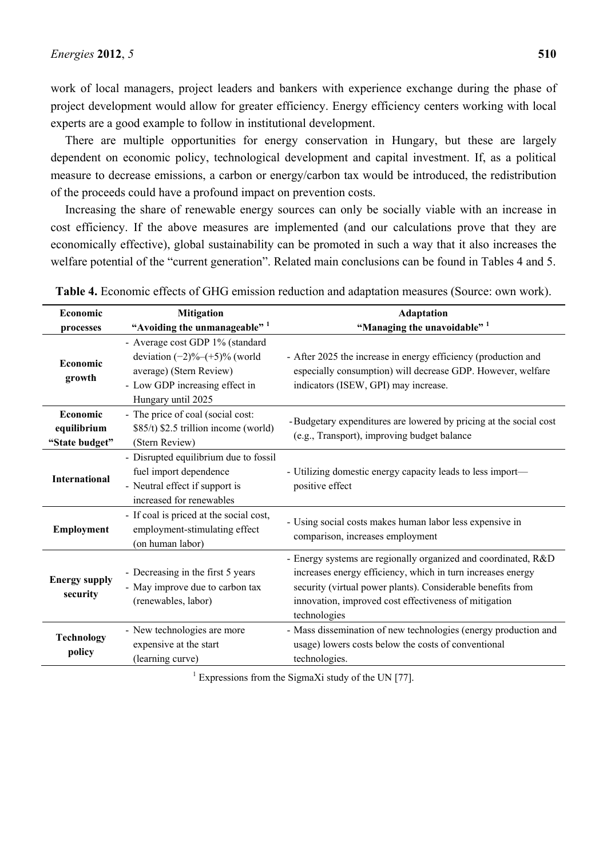There are multiple opportunities for energy conservation in Hungary, but these are largely dependent on economic policy, technological development and capital investment. If, as a political measure to decrease emissions, a carbon or energy/carbon tax would be introduced, the redistribution of the proceeds could have a profound impact on prevention costs.

Increasing the share of renewable energy sources can only be socially viable with an increase in cost efficiency. If the above measures are implemented (and our calculations prove that they are economically effective), global sustainability can be promoted in such a way that it also increases the welfare potential of the "current generation". Related main conclusions can be found in Tables 4 and 5.

| Economic                                  | <b>Mitigation</b>                                                                                                                                    | <b>Adaptation</b>                                                                                                                                                                                                                                                     |
|-------------------------------------------|------------------------------------------------------------------------------------------------------------------------------------------------------|-----------------------------------------------------------------------------------------------------------------------------------------------------------------------------------------------------------------------------------------------------------------------|
| processes                                 | "Avoiding the unmanageable" <sup>1</sup>                                                                                                             | "Managing the unavoidable" 1                                                                                                                                                                                                                                          |
| Economic<br>growth                        | - Average cost GDP 1% (standard<br>deviation $(-2)%-(+5)%$ (world<br>average) (Stern Review)<br>- Low GDP increasing effect in<br>Hungary until 2025 | - After 2025 the increase in energy efficiency (production and<br>especially consumption) will decrease GDP. However, welfare<br>indicators (ISEW, GPI) may increase.                                                                                                 |
| Economic<br>equilibrium<br>"State budget" | - The price of coal (social cost:<br>\$85/t) \$2.5 trillion income (world)<br>(Stern Review)                                                         | -Budgetary expenditures are lowered by pricing at the social cost<br>(e.g., Transport), improving budget balance                                                                                                                                                      |
| <b>International</b>                      | - Disrupted equilibrium due to fossil<br>fuel import dependence<br>- Neutral effect if support is<br>increased for renewables                        | - Utilizing domestic energy capacity leads to less import—<br>positive effect                                                                                                                                                                                         |
| Employment                                | - If coal is priced at the social cost,<br>employment-stimulating effect<br>(on human labor)                                                         | - Using social costs makes human labor less expensive in<br>comparison, increases employment                                                                                                                                                                          |
| <b>Energy supply</b><br>security          | - Decreasing in the first 5 years<br>- May improve due to carbon tax<br>(renewables, labor)                                                          | - Energy systems are regionally organized and coordinated, R&D<br>increases energy efficiency, which in turn increases energy<br>security (virtual power plants). Considerable benefits from<br>innovation, improved cost effectiveness of mitigation<br>technologies |
| <b>Technology</b><br>policy               | - New technologies are more<br>expensive at the start<br>(learning curve)                                                                            | - Mass dissemination of new technologies (energy production and<br>usage) lowers costs below the costs of conventional<br>technologies.                                                                                                                               |

**Table 4.** Economic effects of GHG emission reduction and adaptation measures (Source: own work).

<sup>1</sup> Expressions from the SigmaXi study of the UN [77].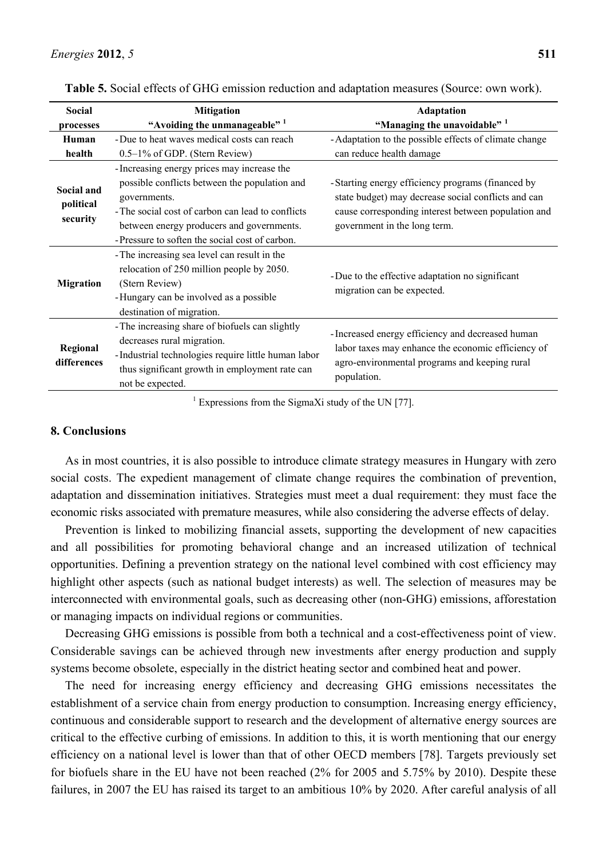| <b>Social</b>                       | <b>Mitigation</b>                                                                                                                                                                                                                                                | <b>Adaptation</b>                                                                                                                                                                               |
|-------------------------------------|------------------------------------------------------------------------------------------------------------------------------------------------------------------------------------------------------------------------------------------------------------------|-------------------------------------------------------------------------------------------------------------------------------------------------------------------------------------------------|
| processes                           | "Avoiding the unmanageable" <sup>1</sup>                                                                                                                                                                                                                         | "Managing the unavoidable" 1                                                                                                                                                                    |
| Human                               | - Due to heat waves medical costs can reach                                                                                                                                                                                                                      | - Adaptation to the possible effects of climate change                                                                                                                                          |
| health                              | $0.5-1\%$ of GDP. (Stern Review)                                                                                                                                                                                                                                 | can reduce health damage                                                                                                                                                                        |
| Social and<br>political<br>security | - Increasing energy prices may increase the<br>possible conflicts between the population and<br>governments.<br>- The social cost of carbon can lead to conflicts<br>between energy producers and governments.<br>-Pressure to soften the social cost of carbon. | -Starting energy efficiency programs (financed by<br>state budget) may decrease social conflicts and can<br>cause corresponding interest between population and<br>government in the long term. |
| <b>Migration</b>                    | - The increasing sea level can result in the<br>relocation of 250 million people by 2050.<br>(Stern Review)<br>-Hungary can be involved as a possible<br>destination of migration.                                                                               | - Due to the effective adaptation no significant<br>migration can be expected.                                                                                                                  |
| Regional<br>differences             | - The increasing share of biofuels can slightly<br>decreases rural migration.<br>- Industrial technologies require little human labor<br>thus significant growth in employment rate can<br>not be expected.                                                      | - Increased energy efficiency and decreased human<br>labor taxes may enhance the economic efficiency of<br>agro-environmental programs and keeping rural<br>population.                         |

**Table 5.** Social effects of GHG emission reduction and adaptation measures (Source: own work).

<sup>1</sup> Expressions from the SigmaXi study of the UN [77].

# **8. Conclusions**

As in most countries, it is also possible to introduce climate strategy measures in Hungary with zero social costs. The expedient management of climate change requires the combination of prevention, adaptation and dissemination initiatives. Strategies must meet a dual requirement: they must face the economic risks associated with premature measures, while also considering the adverse effects of delay.

Prevention is linked to mobilizing financial assets, supporting the development of new capacities and all possibilities for promoting behavioral change and an increased utilization of technical opportunities. Defining a prevention strategy on the national level combined with cost efficiency may highlight other aspects (such as national budget interests) as well. The selection of measures may be interconnected with environmental goals, such as decreasing other (non-GHG) emissions, afforestation or managing impacts on individual regions or communities.

Decreasing GHG emissions is possible from both a technical and a cost-effectiveness point of view. Considerable savings can be achieved through new investments after energy production and supply systems become obsolete, especially in the district heating sector and combined heat and power.

The need for increasing energy efficiency and decreasing GHG emissions necessitates the establishment of a service chain from energy production to consumption. Increasing energy efficiency, continuous and considerable support to research and the development of alternative energy sources are critical to the effective curbing of emissions. In addition to this, it is worth mentioning that our energy efficiency on a national level is lower than that of other OECD members [78]. Targets previously set for biofuels share in the EU have not been reached (2% for 2005 and 5.75% by 2010). Despite these failures, in 2007 the EU has raised its target to an ambitious 10% by 2020. After careful analysis of all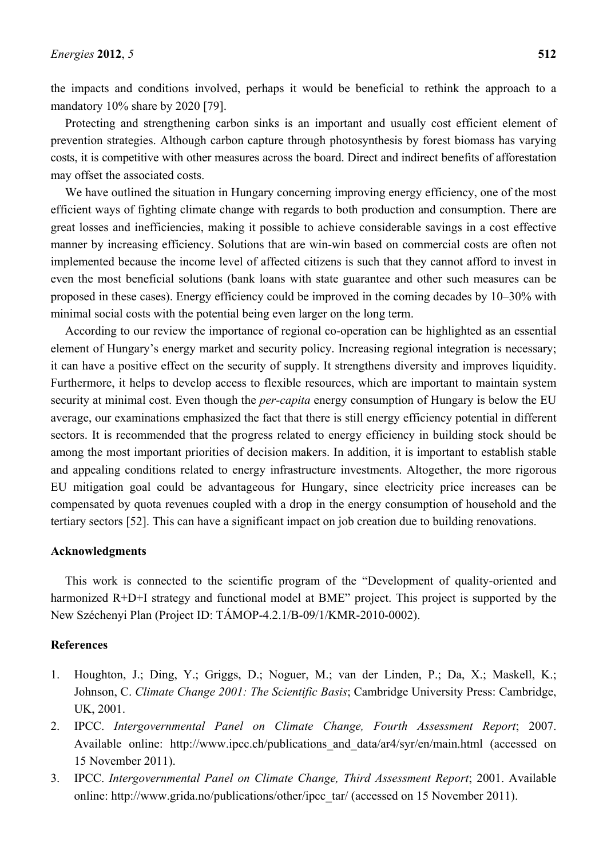the impacts and conditions involved, perhaps it would be beneficial to rethink the approach to a mandatory 10% share by 2020 [79].

Protecting and strengthening carbon sinks is an important and usually cost efficient element of prevention strategies. Although carbon capture through photosynthesis by forest biomass has varying costs, it is competitive with other measures across the board. Direct and indirect benefits of afforestation may offset the associated costs.

We have outlined the situation in Hungary concerning improving energy efficiency, one of the most efficient ways of fighting climate change with regards to both production and consumption. There are great losses and inefficiencies, making it possible to achieve considerable savings in a cost effective manner by increasing efficiency. Solutions that are win-win based on commercial costs are often not implemented because the income level of affected citizens is such that they cannot afford to invest in even the most beneficial solutions (bank loans with state guarantee and other such measures can be proposed in these cases). Energy efficiency could be improved in the coming decades by 10–30% with minimal social costs with the potential being even larger on the long term.

According to our review the importance of regional co-operation can be highlighted as an essential element of Hungary's energy market and security policy. Increasing regional integration is necessary; it can have a positive effect on the security of supply. It strengthens diversity and improves liquidity. Furthermore, it helps to develop access to flexible resources, which are important to maintain system security at minimal cost. Even though the *per-capita* energy consumption of Hungary is below the EU average, our examinations emphasized the fact that there is still energy efficiency potential in different sectors. It is recommended that the progress related to energy efficiency in building stock should be among the most important priorities of decision makers. In addition, it is important to establish stable and appealing conditions related to energy infrastructure investments. Altogether, the more rigorous EU mitigation goal could be advantageous for Hungary, since electricity price increases can be compensated by quota revenues coupled with a drop in the energy consumption of household and the tertiary sectors [52]. This can have a significant impact on job creation due to building renovations.

## **Acknowledgments**

This work is connected to the scientific program of the "Development of quality-oriented and harmonized R+D+I strategy and functional model at BME" project. This project is supported by the New Széchenyi Plan (Project ID: TÁMOP-4.2.1/B-09/1/KMR-2010-0002).

# **References**

- 1. Houghton, J.; Ding, Y.; Griggs, D.; Noguer, M.; van der Linden, P.; Da, X.; Maskell, K.; Johnson, C. *Climate Change 2001: The Scientific Basis*; Cambridge University Press: Cambridge, UK, 2001.
- 2. IPCC. *Intergovernmental Panel on Climate Change, Fourth Assessment Report*; 2007. Available online: http://www.ipcc.ch/publications and data/ar4/syr/en/main.html (accessed on 15 November 2011).
- 3. IPCC. *Intergovernmental Panel on Climate Change, Third Assessment Report*; 2001. Available online: http://www.grida.no/publications/other/ipcc\_tar/ (accessed on 15 November 2011).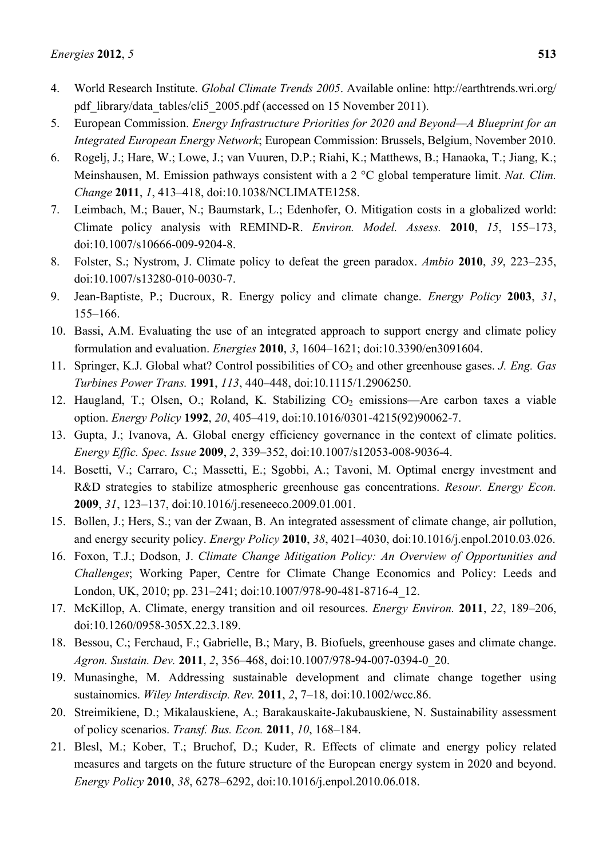- 5. European Commission. *Energy Infrastructure Priorities for 2020 and Beyond—A Blueprint for an Integrated European Energy Network*; European Commission: Brussels, Belgium, November 2010.
- 6. Rogelj, J.; Hare, W.; Lowe, J.; van Vuuren, D.P.; Riahi, K.; Matthews, B.; Hanaoka, T.; Jiang, K.; Meinshausen, M. Emission pathways consistent with a 2 °C global temperature limit. *Nat. Clim. Change* **2011**, *1*, 413–418, doi:10.1038/NCLIMATE1258.
- 7. Leimbach, M.; Bauer, N.; Baumstark, L.; Edenhofer, O. Mitigation costs in a globalized world: Climate policy analysis with REMIND-R. *Environ. Model. Assess.* **2010**, *15*, 155–173, doi:10.1007/s10666-009-9204-8.
- 8. Folster, S.; Nystrom, J. Climate policy to defeat the green paradox. *Ambio* **2010**, *39*, 223–235, doi:10.1007/s13280-010-0030-7.
- 9. Jean-Baptiste, P.; Ducroux, R. Energy policy and climate change. *Energy Policy* **2003**, *31*, 155–166.
- 10. Bassi, A.M. Evaluating the use of an integrated approach to support energy and climate policy formulation and evaluation. *Energies* **2010**, *3*, 1604–1621; doi:10.3390/en3091604.
- 11. Springer, K.J. Global what? Control possibilities of CO<sub>2</sub> and other greenhouse gases. *J. Eng. Gas Turbines Power Trans.* **1991**, *113*, 440–448, doi:10.1115/1.2906250.
- 12. Haugland, T.; Olsen, O.; Roland, K. Stabilizing  $CO<sub>2</sub>$  emissions—Are carbon taxes a viable option. *Energy Policy* **1992**, *20*, 405–419, doi:10.1016/0301-4215(92)90062-7.
- 13. Gupta, J.; Ivanova, A. Global energy efficiency governance in the context of climate politics. *Energy Effic. Spec. Issue* **2009**, *2*, 339–352, doi:10.1007/s12053-008-9036-4.
- 14. Bosetti, V.; Carraro, C.; Massetti, E.; Sgobbi, A.; Tavoni, M. Optimal energy investment and R&D strategies to stabilize atmospheric greenhouse gas concentrations. *Resour. Energy Econ.* **2009**, *31*, 123–137, doi:10.1016/j.reseneeco.2009.01.001.
- 15. Bollen, J.; Hers, S.; van der Zwaan, B. An integrated assessment of climate change, air pollution, and energy security policy. *Energy Policy* **2010**, *38*, 4021–4030, doi:10.1016/j.enpol.2010.03.026.
- 16. Foxon, T.J.; Dodson, J. *Climate Change Mitigation Policy: An Overview of Opportunities and Challenges*; Working Paper, Centre for Climate Change Economics and Policy: Leeds and London, UK, 2010; pp. 231–241; doi:10.1007/978-90-481-8716-4\_12.
- 17. McKillop, A. Climate, energy transition and oil resources. *Energy Environ.* **2011**, *22*, 189–206, doi:10.1260/0958-305X.22.3.189.
- 18. Bessou, C.; Ferchaud, F.; Gabrielle, B.; Mary, B. Biofuels, greenhouse gases and climate change. *Agron. Sustain. Dev.* **2011**, *2*, 356–468, doi:10.1007/978-94-007-0394-0\_20.
- 19. Munasinghe, M. Addressing sustainable development and climate change together using sustainomics. *Wiley Interdiscip. Rev.* **2011**, *2*, 7–18, doi:10.1002/wcc.86.
- 20. Streimikiene, D.; Mikalauskiene, A.; Barakauskaite-Jakubauskiene, N. Sustainability assessment of policy scenarios. *Transf. Bus. Econ.* **2011**, *10*, 168–184.
- 21. Blesl, M.; Kober, T.; Bruchof, D.; Kuder, R. Effects of climate and energy policy related measures and targets on the future structure of the European energy system in 2020 and beyond. *Energy Policy* **2010**, *38*, 6278–6292, doi:10.1016/j.enpol.2010.06.018.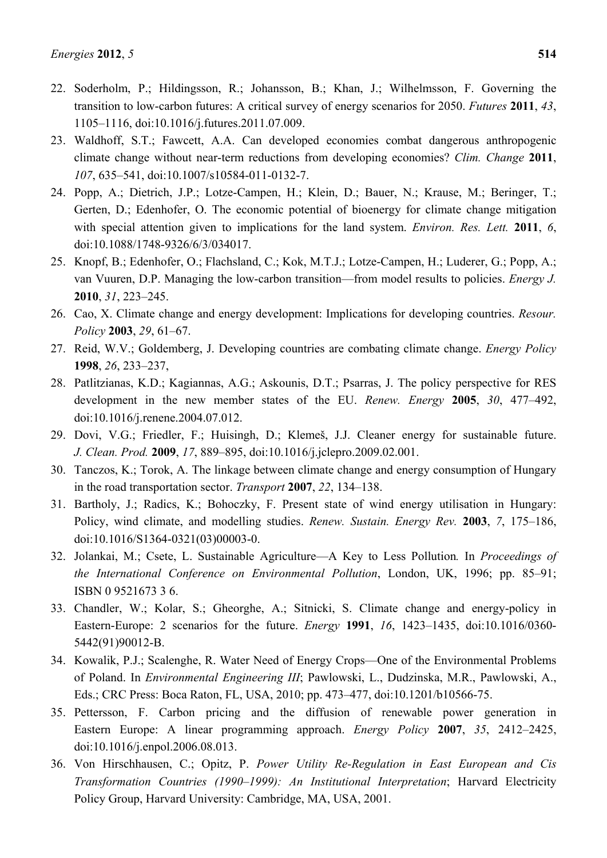- 22. Soderholm, P.; Hildingsson, R.; Johansson, B.; Khan, J.; Wilhelmsson, F. Governing the transition to low-carbon futures: A critical survey of energy scenarios for 2050. *Futures* **2011**, *43*, 1105–1116, doi:10.1016/j.futures.2011.07.009.
- 23. Waldhoff, S.T.; Fawcett, A.A. Can developed economies combat dangerous anthropogenic climate change without near-term reductions from developing economies? *Clim. Change* **2011**, *107*, 635–541, doi:10.1007/s10584-011-0132-7.
- 24. Popp, A.; Dietrich, J.P.; Lotze-Campen, H.; Klein, D.; Bauer, N.; Krause, M.; Beringer, T.; Gerten, D.; Edenhofer, O. The economic potential of bioenergy for climate change mitigation with special attention given to implications for the land system. *Environ. Res. Lett.* **2011**, *6*, doi:10.1088/1748-9326/6/3/034017.
- 25. Knopf, B.; Edenhofer, O.; Flachsland, C.; Kok, M.T.J.; Lotze-Campen, H.; Luderer, G.; Popp, A.; van Vuuren, D.P. Managing the low-carbon transition—from model results to policies. *Energy J.* **2010**, *31*, 223–245.
- 26. Cao, X. Climate change and energy development: Implications for developing countries. *Resour. Policy* **2003**, *29*, 61–67.
- 27. Reid, W.V.; Goldemberg, J. Developing countries are combating climate change. *Energy Policy* **1998**, *26*, 233–237,
- 28. Patlitzianas, K.D.; Kagiannas, A.G.; Askounis, D.T.; Psarras, J. The policy perspective for RES development in the new member states of the EU. *Renew. Energy* **2005**, *30*, 477–492, doi:10.1016/j.renene.2004.07.012.
- 29. Dovi, V.G.; Friedler, F.; Huisingh, D.; Klemeš, J.J. Cleaner energy for sustainable future. *J. Clean. Prod.* **2009**, *17*, 889–895, doi:10.1016/j.jclepro.2009.02.001.
- 30. Tanczos, K.; Torok, A. The linkage between climate change and energy consumption of Hungary in the road transportation sector. *Transport* **2007**, *22*, 134–138.
- 31. Bartholy, J.; Radics, K.; Bohoczky, F. Present state of wind energy utilisation in Hungary: Policy, wind climate, and modelling studies. *Renew. Sustain. Energy Rev.* **2003**, *7*, 175–186, doi:10.1016/S1364-0321(03)00003-0.
- 32. Jolankai, M.; Csete, L. Sustainable Agriculture—A Key to Less Pollution*.* In *Proceedings of the International Conference on Environmental Pollution*, London, UK, 1996; pp. 85–91; ISBN 0 9521673 3 6.
- 33. Chandler, W.; Kolar, S.; Gheorghe, A.; Sitnicki, S. Climate change and energy-policy in Eastern-Europe: 2 scenarios for the future. *Energy* **1991**, *16*, 1423–1435, doi:10.1016/0360- 5442(91)90012-B.
- 34. Kowalik, P.J.; Scalenghe, R. Water Need of Energy Crops—One of the Environmental Problems of Poland. In *Environmental Engineering III*; Pawlowski, L., Dudzinska, M.R., Pawlowski, A., Eds.; CRC Press: Boca Raton, FL, USA, 2010; pp. 473–477, doi:10.1201/b10566-75.
- 35. Pettersson, F. Carbon pricing and the diffusion of renewable power generation in Eastern Europe: A linear programming approach. *Energy Policy* **2007**, *35*, 2412–2425, doi:10.1016/j.enpol.2006.08.013.
- 36. Von Hirschhausen, C.; Opitz, P. *Power Utility Re-Regulation in East European and Cis Transformation Countries (1990–1999): An Institutional Interpretation*; Harvard Electricity Policy Group, Harvard University: Cambridge, MA, USA, 2001.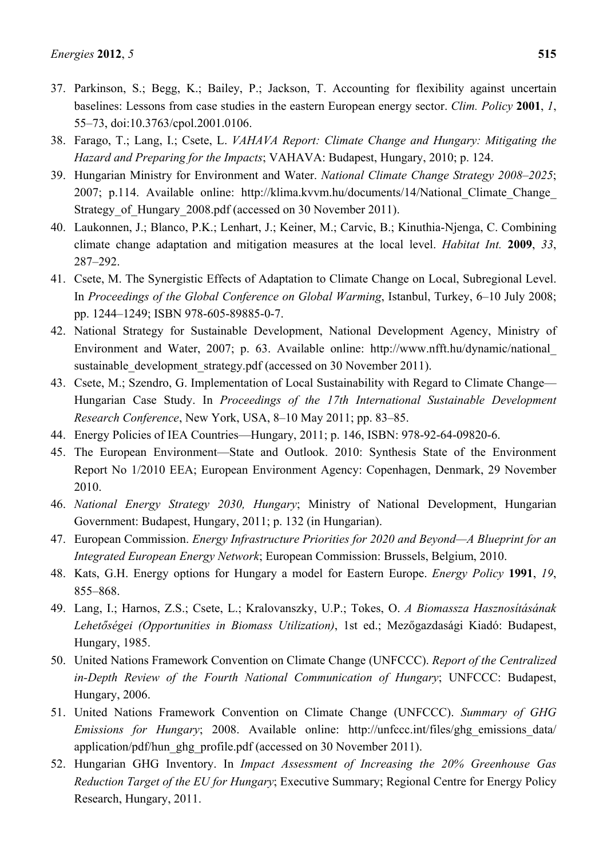- 37. Parkinson, S.; Begg, K.; Bailey, P.; Jackson, T. Accounting for flexibility against uncertain baselines: Lessons from case studies in the eastern European energy sector. *Clim. Policy* **2001**, *1*, 55–73, doi:10.3763/cpol.2001.0106.
- 38. Farago, T.; Lang, I.; Csete, L. *VAHAVA Report: Climate Change and Hungary: Mitigating the Hazard and Preparing for the Impacts*; VAHAVA: Budapest, Hungary, 2010; p. 124.
- 39. Hungarian Ministry for Environment and Water. *National Climate Change Strategy 2008–2025*; 2007; p.114. Available online: http://klima.kvvm.hu/documents/14/National\_Climate\_Change\_ Strategy of Hungary 2008.pdf (accessed on 30 November 2011).
- 40. Laukonnen, J.; Blanco, P.K.; Lenhart, J.; Keiner, M.; Carvic, B.; Kinuthia-Njenga, C. Combining climate change adaptation and mitigation measures at the local level. *Habitat Int.* **2009**, *33*, 287–292.
- 41. Csete, M. The Synergistic Effects of Adaptation to Climate Change on Local, Subregional Level. In *Proceedings of the Global Conference on Global Warming*, Istanbul, Turkey, 6–10 July 2008; pp. 1244–1249; ISBN 978-605-89885-0-7.
- 42. National Strategy for Sustainable Development, National Development Agency, Ministry of Environment and Water, 2007; p. 63. Available online: http://www.nfft.hu/dynamic/national\_ sustainable\_development\_strategy.pdf (accessed on 30 November 2011).
- 43. Csete, M.; Szendro, G. Implementation of Local Sustainability with Regard to Climate Change— Hungarian Case Study. In *Proceedings of the 17th International Sustainable Development Research Conference*, New York, USA, 8–10 May 2011; pp. 83–85.
- 44. Energy Policies of IEA Countries—Hungary, 2011; p. 146, ISBN: 978-92-64-09820-6.
- 45. The European Environment—State and Outlook. 2010: Synthesis State of the Environment Report No 1/2010 EEA; European Environment Agency: Copenhagen, Denmark, 29 November 2010.
- 46. *National Energy Strategy 2030, Hungary*; Ministry of National Development, Hungarian Government: Budapest, Hungary, 2011; p. 132 (in Hungarian).
- 47. European Commission. *Energy Infrastructure Priorities for 2020 and Beyond—A Blueprint for an Integrated European Energy Network*; European Commission: Brussels, Belgium, 2010.
- 48. Kats, G.H. Energy options for Hungary a model for Eastern Europe. *Energy Policy* **1991**, *19*, 855–868.
- 49. Lang, I.; Harnos, Z.S.; Csete, L.; Kralovanszky, U.P.; Tokes, O. *A Biomassza Hasznosításának Lehetőségei (Opportunities in Biomass Utilization)*, 1st ed.; Mezőgazdasági Kiadó: Budapest, Hungary, 1985.
- 50. United Nations Framework Convention on Climate Change (UNFCCC). *Report of the Centralized in-Depth Review of the Fourth National Communication of Hungary*; UNFCCC: Budapest, Hungary, 2006.
- 51. United Nations Framework Convention on Climate Change (UNFCCC). *Summary of GHG Emissions for Hungary*; 2008. Available online: http://unfccc.int/files/ghg\_emissions\_data/ application/pdf/hun\_ghg\_profile.pdf (accessed on 30 November 2011).
- 52. Hungarian GHG Inventory. In *Impact Assessment of Increasing the 20% Greenhouse Gas Reduction Target of the EU for Hungary*; Executive Summary; Regional Centre for Energy Policy Research, Hungary, 2011.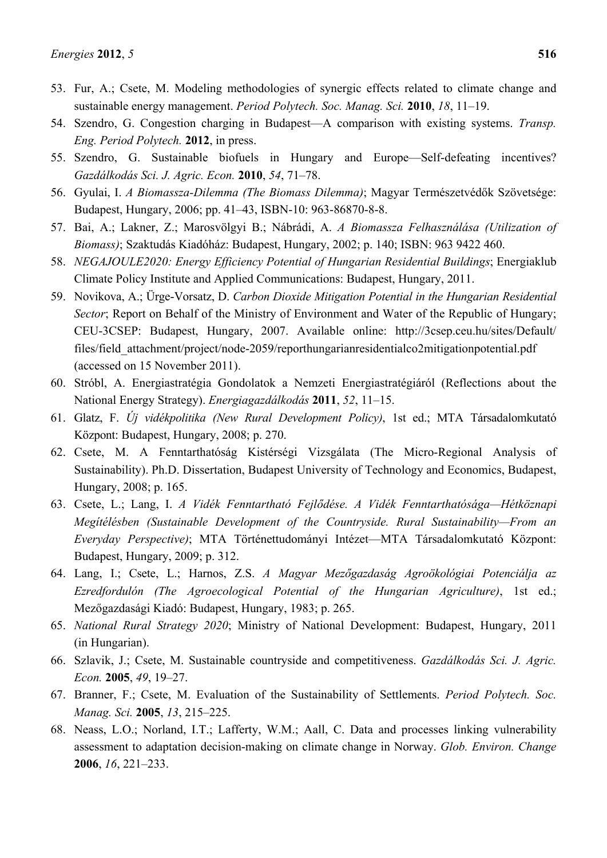- 53. Fur, A.; Csete, M. Modeling methodologies of synergic effects related to climate change and sustainable energy management. *Period Polytech. Soc. Manag. Sci.* **2010**, *18*, 11–19.
- 54. Szendro, G. Congestion charging in Budapest—A comparison with existing systems. *Transp. Eng. Period Polytech.* **2012**, in press.
- 55. Szendro, G. Sustainable biofuels in Hungary and Europe—Self-defeating incentives? *Gazdálkodás Sci. J. Agric. Econ.* **2010**, *54*, 71–78.
- 56. Gyulai, I. *A Biomassza-Dilemma (The Biomass Dilemma)*; Magyar Természetvédők Szövetsége: Budapest, Hungary, 2006; pp. 41–43, ISBN-10: 963-86870-8-8.
- 57. Bai, A.; Lakner, Z.; Marosvölgyi B.; Nábrádi, A. *A Biomassza Felhasználása (Utilization of Biomass)*; Szaktudás Kiadóház: Budapest, Hungary, 2002; p. 140; ISBN: 963 9422 460.
- 58. *NEGAJOULE2020: Energy Efficiency Potential of Hungarian Residential Buildings*; Energiaklub Climate Policy Institute and Applied Communications: Budapest, Hungary, 2011.
- 59. Novikova, A.; Ürge-Vorsatz, D. *Carbon Dioxide Mitigation Potential in the Hungarian Residential Sector*; Report on Behalf of the Ministry of Environment and Water of the Republic of Hungary; CEU-3CSEP: Budapest, Hungary, 2007. Available online: http://3csep.ceu.hu/sites/Default/ files/field\_attachment/project/node-2059/reporthungarianresidentialco2mitigationpotential.pdf (accessed on 15 November 2011).
- 60. Stróbl, A. Energiastratégia Gondolatok a Nemzeti Energiastratégiáról (Reflections about the National Energy Strategy). *Energiagazdálkodás* **2011**, *52*, 11–15.
- 61. Glatz, F. *Új vidékpolitika (New Rural Development Policy)*, 1st ed.; MTA Társadalomkutató Központ: Budapest, Hungary, 2008; p. 270.
- 62. Csete, M. A Fenntarthatóság Kistérségi Vizsgálata (The Micro-Regional Analysis of Sustainability). Ph.D. Dissertation, Budapest University of Technology and Economics, Budapest, Hungary, 2008; p. 165.
- 63. Csete, L.; Lang, I. *A Vidék Fenntartható Fejlődése. A Vidék Fenntarthatósága—Hétköznapi Megítélésben (Sustainable Development of the Countryside. Rural Sustainability—From an Everyday Perspective)*; MTA Történettudományi Intézet—MTA Társadalomkutató Központ: Budapest, Hungary, 2009; p. 312.
- 64. Lang, I.; Csete, L.; Harnos, Z.S. *A Magyar Mezőgazdaság Agroökológiai Potenciálja az Ezredfordulón (The Agroecological Potential of the Hungarian Agriculture)*, 1st ed.; Mezőgazdasági Kiadó: Budapest, Hungary, 1983; p. 265.
- 65. *National Rural Strategy 2020*; Ministry of National Development: Budapest, Hungary, 2011 (in Hungarian).
- 66. Szlavik, J.; Csete, M. Sustainable countryside and competitiveness. *Gazdálkodás Sci. J. Agric. Econ.* **2005**, *49*, 19–27.
- 67. Branner, F.; Csete, M. Evaluation of the Sustainability of Settlements. *Period Polytech. Soc. Manag. Sci.* **2005**, *13*, 215–225.
- 68. Neass, L.O.; Norland, I.T.; Lafferty, W.M.; Aall, C. Data and processes linking vulnerability assessment to adaptation decision-making on climate change in Norway. *Glob. Environ. Change*  **2006**, *16*, 221–233.